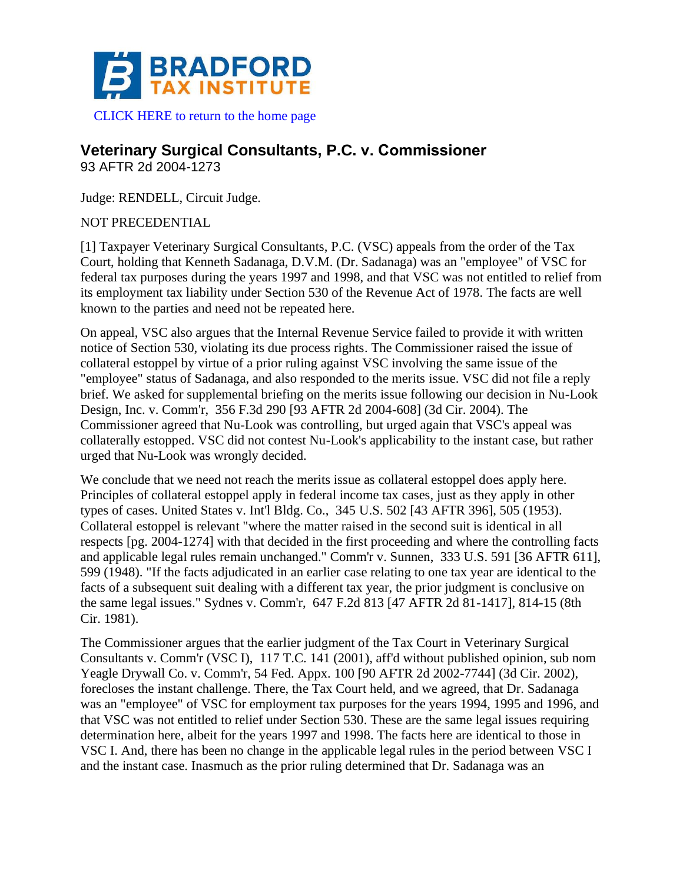

## **Veterinary Surgical Consultants, P.C. v. Commissioner**

93 AFTR 2d 2004-1273

Judge: RENDELL, Circuit Judge.

NOT PRECEDENTIAL

[1] Taxpayer Veterinary Surgical Consultants, P.C. (VSC) appeals from the order of the Tax Court, holding that Kenneth Sadanaga, D.V.M. (Dr. Sadanaga) was an "employee" of VSC for federal tax purposes during the years 1997 and 1998, and that VSC was not entitled to relief from its employment tax liability under Section 530 of the Revenue Act of 1978. The facts are well known to the parties and need not be repeated here.

On appeal, VSC also argues that the Internal Revenue Service failed to provide it with written notice of Section 530, violating its due process rights. The Commissioner raised the issue of collateral estoppel by virtue of a prior ruling against VSC involving the same issue of the "employee" status of Sadanaga, and also responded to the merits issue. VSC did not file a reply brief. We asked for supplemental briefing on the merits issue following our decision in Nu-Look Design, Inc. v. Comm'r, 356 F.3d 290 [93 AFTR 2d 2004-608] (3d Cir. 2004). The Commissioner agreed that Nu-Look was controlling, but urged again that VSC's appeal was collaterally estopped. VSC did not contest Nu-Look's applicability to the instant case, but rather urged that Nu-Look was wrongly decided.

We conclude that we need not reach the merits issue as collateral estoppel does apply here. Principles of collateral estoppel apply in federal income tax cases, just as they apply in other types of cases. United States v. Int'l Bldg. Co., 345 U.S. 502 [43 AFTR 396], 505 (1953). Collateral estoppel is relevant "where the matter raised in the second suit is identical in all respects [pg. 2004-1274] with that decided in the first proceeding and where the controlling facts and applicable legal rules remain unchanged." Comm'r v. Sunnen, 333 U.S. 591 [36 AFTR 611], 599 (1948). "If the facts adjudicated in an earlier case relating to one tax year are identical to the facts of a subsequent suit dealing with a different tax year, the prior judgment is conclusive on the same legal issues." Sydnes v. Comm'r, 647 F.2d 813 [47 AFTR 2d 81-1417], 814-15 (8th Cir. 1981).

The Commissioner argues that the earlier judgment of the Tax Court in Veterinary Surgical Consultants v. Comm'r (VSC I), 117 T.C. 141 (2001), aff'd without published opinion, sub nom Yeagle Drywall Co. v. Comm'r, 54 Fed. Appx. 100 [90 AFTR 2d 2002-7744] (3d Cir. 2002), forecloses the instant challenge. There, the Tax Court held, and we agreed, that Dr. Sadanaga was an "employee" of VSC for employment tax purposes for the years 1994, 1995 and 1996, and that VSC was not entitled to relief under Section 530. These are the same legal issues requiring determination here, albeit for the years 1997 and 1998. The facts here are identical to those in VSC I. And, there has been no change in the applicable legal rules in the period between VSC I and the instant case. Inasmuch as the prior ruling determined that Dr. Sadanaga was an